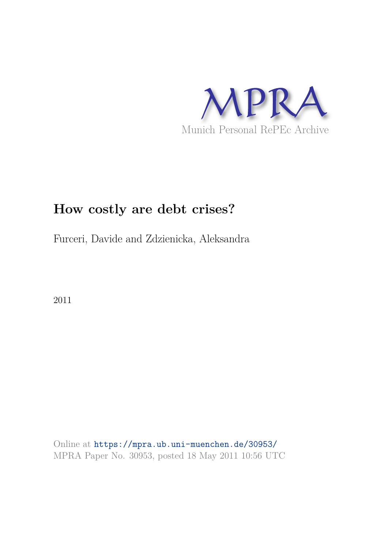

# **How costly are debt crises?**

Furceri, Davide and Zdzienicka, Aleksandra

2011

Online at https://mpra.ub.uni-muenchen.de/30953/ MPRA Paper No. 30953, posted 18 May 2011 10:56 UTC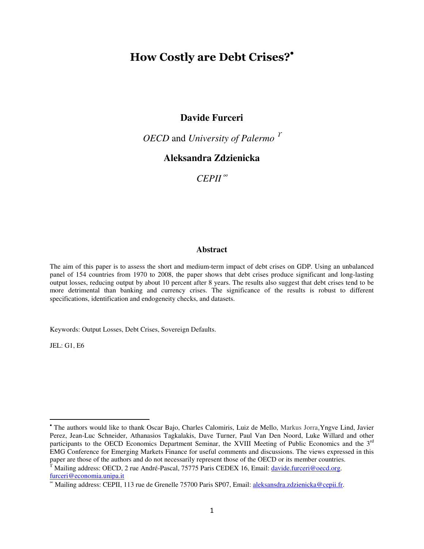## How Costly are Debt Crises?'

## **Davide Furceri**

*OECD* and *University of Palermo*<sup>*r*</sup>

## **Aleksandra Zdzienicka**

*CEPII* <sup>∞</sup>

#### **Abstract**

The aim of this paper is to assess the short and medium-term impact of debt crises on GDP. Using an unbalanced panel of 154 countries from 1970 to 2008, the paper shows that debt crises produce significant and long-lasting output losses, reducing output by about 10 percent after 8 years. The results also suggest that debt crises tend to be more detrimental than banking and currency crises. The significance of the results is robust to different specifications, identification and endogeneity checks, and datasets.

Keywords: Output Losses, Debt Crises, Sovereign Defaults.

JEL: G1, E6

 $\overline{a}$ 

<sup>•</sup> The authors would like to thank Oscar Bajo, Charles Calomiris, Luiz de Mello, Markus Jorra,Yngve Lind, Javier Perez, Jean-Luc Schneider, Athanasios Tagkalakis, Dave Turner, Paul Van Den Noord, Luke Willard and other participants to the OECD Economics Department Seminar, the XVIII Meeting of Public Economics and the 3rd EMG Conference for Emerging Markets Finance for useful comments and discussions. The views expressed in this paper are those of the authors and do not necessarily represent those of the OECD or its member countries.

<sup>&</sup>lt;sup>Y</sup> Mailing address: OECD, 2 rue André-Pascal, 75775 Paris CEDEX 16, Email: *davide.furceri@oecd.org*. furceri@economia.unipa.it

<sup>∞</sup> Mailing address: CEPII, 113 rue de Grenelle 75700 Paris SP07, Email: aleksansdra.zdzienicka@cepii.fr.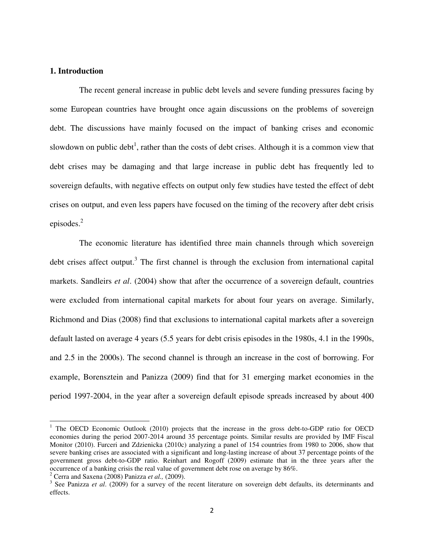#### **1. Introduction**

 The recent general increase in public debt levels and severe funding pressures facing by some European countries have brought once again discussions on the problems of sovereign debt. The discussions have mainly focused on the impact of banking crises and economic slowdown on public debt<sup>1</sup>, rather than the costs of debt crises. Although it is a common view that debt crises may be damaging and that large increase in public debt has frequently led to sovereign defaults, with negative effects on output only few studies have tested the effect of debt crises on output, and even less papers have focused on the timing of the recovery after debt crisis episodes.<sup>2</sup>

 The economic literature has identified three main channels through which sovereign debt crises affect output.<sup>3</sup> The first channel is through the exclusion from international capital markets. Sandleirs *et al*. (2004) show that after the occurrence of a sovereign default, countries were excluded from international capital markets for about four years on average. Similarly, Richmond and Dias (2008) find that exclusions to international capital markets after a sovereign default lasted on average 4 years (5.5 years for debt crisis episodes in the 1980s, 4.1 in the 1990s, and 2.5 in the 2000s). The second channel is through an increase in the cost of borrowing. For example, Borensztein and Panizza (2009) find that for 31 emerging market economies in the period 1997-2004, in the year after a sovereign default episode spreads increased by about 400

 $\overline{\phantom{0}}$ 

<sup>&</sup>lt;sup>1</sup> The OECD Economic Outlook (2010) projects that the increase in the gross debt-to-GDP ratio for OECD economies during the period 2007-2014 around 35 percentage points. Similar results are provided by IMF Fiscal Monitor (2010). Furceri and Zdzienicka (2010c) analyzing a panel of 154 countries from 1980 to 2006, show that severe banking crises are associated with a significant and long-lasting increase of about 37 percentage points of the government gross debt-to-GDP ratio. Reinhart and Rogoff (2009) estimate that in the three years after the occurrence of a banking crisis the real value of government debt rose on average by 86%.

<sup>2</sup> Cerra and Saxena (2008) Panizza *et al.,* (2009).

<sup>&</sup>lt;sup>3</sup> See Panizza *et al.* (2009) for a survey of the recent literature on sovereign debt defaults, its determinants and effects.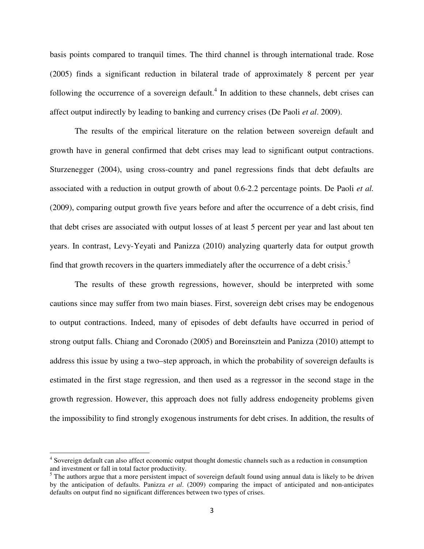basis points compared to tranquil times. The third channel is through international trade. Rose (2005) finds a significant reduction in bilateral trade of approximately 8 percent per year following the occurrence of a sovereign default.<sup>4</sup> In addition to these channels, debt crises can affect output indirectly by leading to banking and currency crises (De Paoli *et al*. 2009).

The results of the empirical literature on the relation between sovereign default and growth have in general confirmed that debt crises may lead to significant output contractions. Sturzenegger (2004), using cross-country and panel regressions finds that debt defaults are associated with a reduction in output growth of about 0.6-2.2 percentage points. De Paoli *et al.* (2009), comparing output growth five years before and after the occurrence of a debt crisis, find that debt crises are associated with output losses of at least 5 percent per year and last about ten years. In contrast, Levy-Yeyati and Panizza (2010) analyzing quarterly data for output growth find that growth recovers in the quarters immediately after the occurrence of a debt crisis.<sup>5</sup>

The results of these growth regressions, however, should be interpreted with some cautions since may suffer from two main biases. First, sovereign debt crises may be endogenous to output contractions. Indeed, many of episodes of debt defaults have occurred in period of strong output falls. Chiang and Coronado (2005) and Boreinsztein and Panizza (2010) attempt to address this issue by using a two–step approach, in which the probability of sovereign defaults is estimated in the first stage regression, and then used as a regressor in the second stage in the growth regression. However, this approach does not fully address endogeneity problems given the impossibility to find strongly exogenous instruments for debt crises. In addition, the results of

 $\overline{a}$ 

<sup>&</sup>lt;sup>4</sup> Sovereign default can also affect economic output thought domestic channels such as a reduction in consumption and investment or fall in total factor productivity.

 $<sup>5</sup>$  The authors argue that a more persistent impact of sovereign default found using annual data is likely to be driven</sup> by the anticipation of defaults. Panizza *et al*. (2009) comparing the impact of anticipated and non-anticipates defaults on output find no significant differences between two types of crises.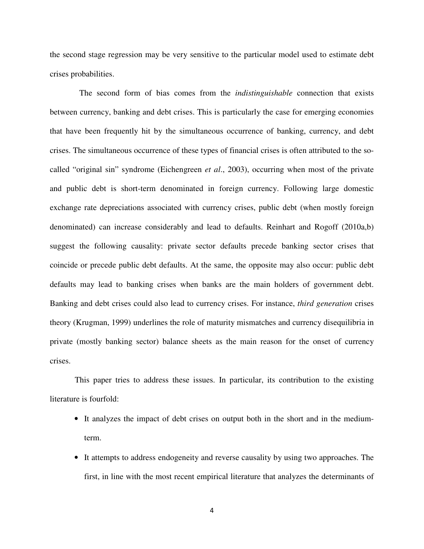the second stage regression may be very sensitive to the particular model used to estimate debt crises probabilities.

 The second form of bias comes from the *indistinguishable* connection that exists between currency, banking and debt crises. This is particularly the case for emerging economies that have been frequently hit by the simultaneous occurrence of banking, currency, and debt crises. The simultaneous occurrence of these types of financial crises is often attributed to the socalled "original sin" syndrome (Eichengreen *et al*., 2003), occurring when most of the private and public debt is short-term denominated in foreign currency. Following large domestic exchange rate depreciations associated with currency crises, public debt (when mostly foreign denominated) can increase considerably and lead to defaults. Reinhart and Rogoff (2010a,b) suggest the following causality: private sector defaults precede banking sector crises that coincide or precede public debt defaults. At the same, the opposite may also occur: public debt defaults may lead to banking crises when banks are the main holders of government debt. Banking and debt crises could also lead to currency crises. For instance, *third generation* crises theory (Krugman, 1999) underlines the role of maturity mismatches and currency disequilibria in private (mostly banking sector) balance sheets as the main reason for the onset of currency crises.

 This paper tries to address these issues. In particular, its contribution to the existing literature is fourfold:

- It analyzes the impact of debt crises on output both in the short and in the mediumterm.
- It attempts to address endogeneity and reverse causality by using two approaches. The first, in line with the most recent empirical literature that analyzes the determinants of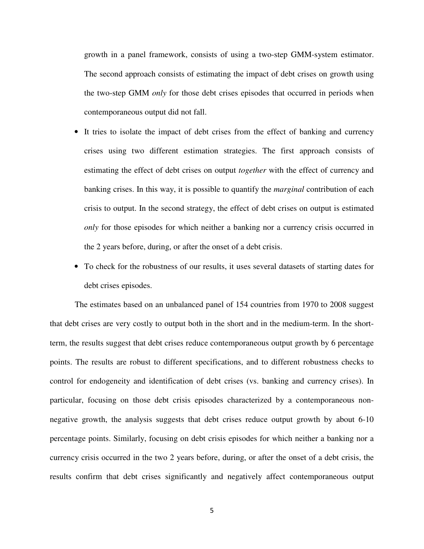growth in a panel framework, consists of using a two-step GMM-system estimator. The second approach consists of estimating the impact of debt crises on growth using the two-step GMM *only* for those debt crises episodes that occurred in periods when contemporaneous output did not fall.

- It tries to isolate the impact of debt crises from the effect of banking and currency crises using two different estimation strategies. The first approach consists of estimating the effect of debt crises on output *together* with the effect of currency and banking crises. In this way, it is possible to quantify the *marginal* contribution of each crisis to output. In the second strategy, the effect of debt crises on output is estimated *only* for those episodes for which neither a banking nor a currency crisis occurred in the 2 years before, during, or after the onset of a debt crisis.
- To check for the robustness of our results, it uses several datasets of starting dates for debt crises episodes.

The estimates based on an unbalanced panel of 154 countries from 1970 to 2008 suggest that debt crises are very costly to output both in the short and in the medium-term. In the shortterm, the results suggest that debt crises reduce contemporaneous output growth by 6 percentage points. The results are robust to different specifications, and to different robustness checks to control for endogeneity and identification of debt crises (vs. banking and currency crises). In particular, focusing on those debt crisis episodes characterized by a contemporaneous nonnegative growth, the analysis suggests that debt crises reduce output growth by about 6-10 percentage points. Similarly, focusing on debt crisis episodes for which neither a banking nor a currency crisis occurred in the two 2 years before, during, or after the onset of a debt crisis, the results confirm that debt crises significantly and negatively affect contemporaneous output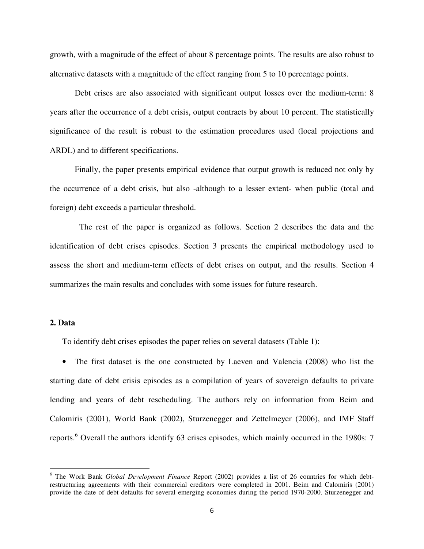growth, with a magnitude of the effect of about 8 percentage points. The results are also robust to alternative datasets with a magnitude of the effect ranging from 5 to 10 percentage points.

Debt crises are also associated with significant output losses over the medium-term: 8 years after the occurrence of a debt crisis, output contracts by about 10 percent. The statistically significance of the result is robust to the estimation procedures used (local projections and ARDL) and to different specifications.

Finally, the paper presents empirical evidence that output growth is reduced not only by the occurrence of a debt crisis, but also -although to a lesser extent- when public (total and foreign) debt exceeds a particular threshold.

 The rest of the paper is organized as follows. Section 2 describes the data and the identification of debt crises episodes. Section 3 presents the empirical methodology used to assess the short and medium-term effects of debt crises on output, and the results. Section 4 summarizes the main results and concludes with some issues for future research.

#### **2. Data**

 $\overline{\phantom{0}}$ 

To identify debt crises episodes the paper relies on several datasets (Table 1):

• The first dataset is the one constructed by Laeven and Valencia (2008) who list the starting date of debt crisis episodes as a compilation of years of sovereign defaults to private lending and years of debt rescheduling. The authors rely on information from Beim and Calomiris (2001), World Bank (2002), Sturzenegger and Zettelmeyer (2006), and IMF Staff reports.<sup>6</sup> Overall the authors identify 63 crises episodes, which mainly occurred in the 1980s: 7

<sup>6</sup> The Work Bank *Global Development Finance* Report (2002) provides a list of 26 countries for which debtrestructuring agreements with their commercial creditors were completed in 2001. Beim and Calomiris (2001) provide the date of debt defaults for several emerging economies during the period 1970-2000. Sturzenegger and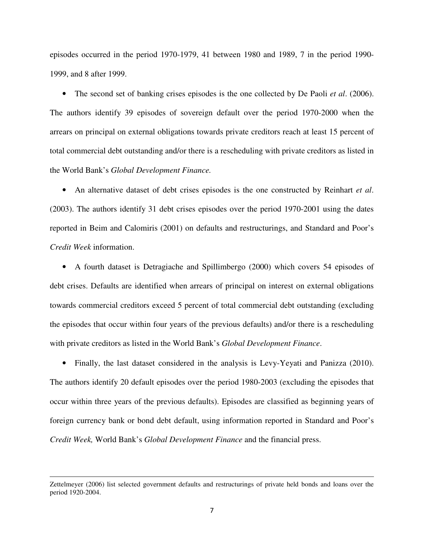episodes occurred in the period 1970-1979, 41 between 1980 and 1989, 7 in the period 1990- 1999, and 8 after 1999.

• The second set of banking crises episodes is the one collected by De Paoli *et al*. (2006). The authors identify 39 episodes of sovereign default over the period 1970-2000 when the arrears on principal on external obligations towards private creditors reach at least 15 percent of total commercial debt outstanding and/or there is a rescheduling with private creditors as listed in the World Bank's *Global Development Finance.*

• An alternative dataset of debt crises episodes is the one constructed by Reinhart *et al*. (2003). The authors identify 31 debt crises episodes over the period 1970-2001 using the dates reported in Beim and Calomiris (2001) on defaults and restructurings, and Standard and Poor's *Credit Week* information.

• A fourth dataset is Detragiache and Spillimbergo (2000) which covers 54 episodes of debt crises. Defaults are identified when arrears of principal on interest on external obligations towards commercial creditors exceed 5 percent of total commercial debt outstanding (excluding the episodes that occur within four years of the previous defaults) and/or there is a rescheduling with private creditors as listed in the World Bank's *Global Development Finance*.

• Finally, the last dataset considered in the analysis is Levy-Yeyati and Panizza (2010). The authors identify 20 default episodes over the period 1980-2003 (excluding the episodes that occur within three years of the previous defaults). Episodes are classified as beginning years of foreign currency bank or bond debt default, using information reported in Standard and Poor's *Credit Week,* World Bank's *Global Development Finance* and the financial press.

 $\overline{a}$ 

Zettelmeyer (2006) list selected government defaults and restructurings of private held bonds and loans over the period 1920-2004.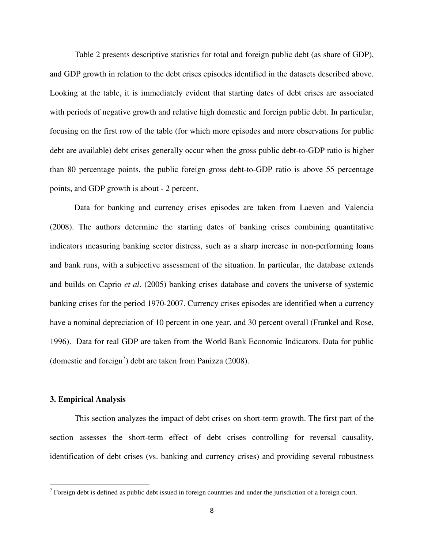Table 2 presents descriptive statistics for total and foreign public debt (as share of GDP), and GDP growth in relation to the debt crises episodes identified in the datasets described above. Looking at the table, it is immediately evident that starting dates of debt crises are associated with periods of negative growth and relative high domestic and foreign public debt. In particular, focusing on the first row of the table (for which more episodes and more observations for public debt are available) debt crises generally occur when the gross public debt-to-GDP ratio is higher than 80 percentage points, the public foreign gross debt-to-GDP ratio is above 55 percentage points, and GDP growth is about - 2 percent.

Data for banking and currency crises episodes are taken from Laeven and Valencia (2008). The authors determine the starting dates of banking crises combining quantitative indicators measuring banking sector distress, such as a sharp increase in non-performing loans and bank runs, with a subjective assessment of the situation. In particular, the database extends and builds on Caprio *et al*. (2005) banking crises database and covers the universe of systemic banking crises for the period 1970-2007. Currency crises episodes are identified when a currency have a nominal depreciation of 10 percent in one year, and 30 percent overall (Frankel and Rose, 1996). Data for real GDP are taken from the World Bank Economic Indicators. Data for public (domestic and foreign<sup>7</sup>) debt are taken from Panizza (2008).

#### **3. Empirical Analysis**

l

This section analyzes the impact of debt crises on short-term growth. The first part of the section assesses the short-term effect of debt crises controlling for reversal causality, identification of debt crises (vs. banking and currency crises) and providing several robustness

<sup>&</sup>lt;sup>7</sup> Foreign debt is defined as public debt issued in foreign countries and under the jurisdiction of a foreign court.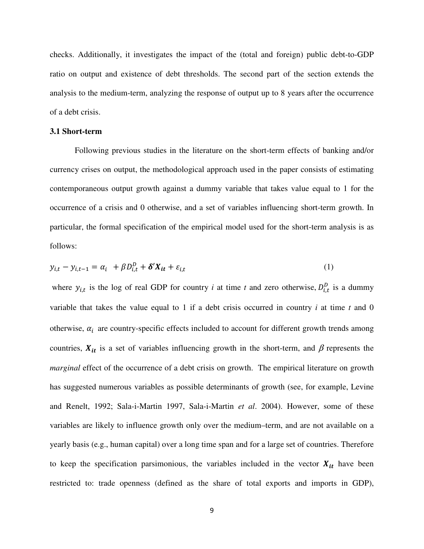checks. Additionally, it investigates the impact of the (total and foreign) public debt-to-GDP ratio on output and existence of debt thresholds. The second part of the section extends the analysis to the medium-term, analyzing the response of output up to 8 years after the occurrence of a debt crisis.

#### **3.1 Short-term**

Following previous studies in the literature on the short-term effects of banking and/or currency crises on output, the methodological approach used in the paper consists of estimating contemporaneous output growth against a dummy variable that takes value equal to 1 for the occurrence of a crisis and 0 otherwise, and a set of variables influencing short-term growth. In particular, the formal specification of the empirical model used for the short-term analysis is as follows:

$$
y_{i,t} - y_{i,t-1} = \alpha_i + \beta D_{i,t}^D + \delta' X_{it} + \varepsilon_{i,t}
$$
 (1)

where  $y_{i,t}$  is the log of real GDP for country *i* at time *t* and zero otherwise,  $D_{i,t}^D$  is a dummy variable that takes the value equal to 1 if a debt crisis occurred in country *i* at time *t* and 0 otherwise,  $\alpha_i$  are country-specific effects included to account for different growth trends among countries,  $X_{it}$  is a set of variables influencing growth in the short-term, and  $\beta$  represents the *marginal* effect of the occurrence of a debt crisis on growth. The empirical literature on growth has suggested numerous variables as possible determinants of growth (see, for example, Levine and Renelt, 1992; Sala-i-Martin 1997, Sala-i-Martin *et al*. 2004). However, some of these variables are likely to influence growth only over the medium–term, and are not available on a yearly basis (e.g., human capital) over a long time span and for a large set of countries. Therefore to keep the specification parsimonious, the variables included in the vector  $X_{it}$  have been restricted to: trade openness (defined as the share of total exports and imports in GDP),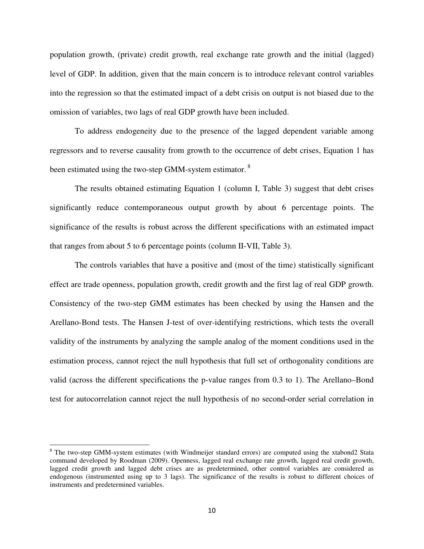population growth, (private) credit growth, real exchange rate growth and the initial (lagged) level of GDP. In addition, given that the main concern is to introduce relevant control variables into the regression so that the estimated impact of a debt crisis on output is not biased due to the omission of variables, two lags of real GDP growth have been included.

 To address endogeneity due to the presence of the lagged dependent variable among regressors and to reverse causality from growth to the occurrence of debt crises, Equation 1 has been estimated using the two-step GMM-system estimator.<sup>8</sup>

The results obtained estimating Equation 1 (column I, Table 3) suggest that debt crises significantly reduce contemporaneous output growth by about 6 percentage points. The significance of the results is robust across the different specifications with an estimated impact that ranges from about 5 to 6 percentage points (column II-VII, Table 3).

The controls variables that have a positive and (most of the time) statistically significant effect are trade openness, population growth, credit growth and the first lag of real GDP growth. Consistency of the two-step GMM estimates has been checked by using the Hansen and the Arellano-Bond tests. The Hansen J-test of over-identifying restrictions, which tests the overall validity of the instruments by analyzing the sample analog of the moment conditions used in the estimation process, cannot reject the null hypothesis that full set of orthogonality conditions are valid (across the different specifications the p-value ranges from 0.3 to 1). The Arellano–Bond test for autocorrelation cannot reject the null hypothesis of no second-order serial correlation in

 $\overline{a}$ 

<sup>&</sup>lt;sup>8</sup> The two-step GMM-system estimates (with Windmeijer standard errors) are computed using the xtabond2 Stata command developed by Roodman (2009). Openness, lagged real exchange rate growth, lagged real credit growth, lagged credit growth and lagged debt crises are as predetermined, other control variables are considered as endogenous (instrumented using up to 3 lags). The significance of the results is robust to different choices of instruments and predetermined variables.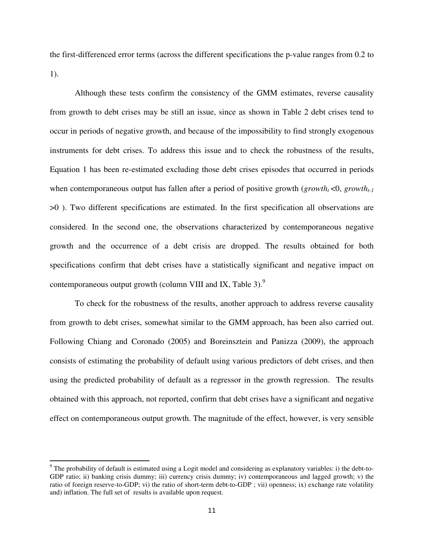the first-differenced error terms (across the different specifications the p-value ranges from 0.2 to 1).

Although these tests confirm the consistency of the GMM estimates, reverse causality from growth to debt crises may be still an issue, since as shown in Table 2 debt crises tend to occur in periods of negative growth, and because of the impossibility to find strongly exogenous instruments for debt crises. To address this issue and to check the robustness of the results, Equation 1 has been re-estimated excluding those debt crises episodes that occurred in periods when contemporaneous output has fallen after a period of positive growth ( $growth<sub>t</sub> < 0$ ,  $growth<sub>t-1</sub>$ ) >0 ). Two different specifications are estimated. In the first specification all observations are considered. In the second one, the observations characterized by contemporaneous negative growth and the occurrence of a debt crisis are dropped. The results obtained for both specifications confirm that debt crises have a statistically significant and negative impact on contemporaneous output growth (column VIII and IX, Table 3). $^{9}$ 

To check for the robustness of the results, another approach to address reverse causality from growth to debt crises, somewhat similar to the GMM approach, has been also carried out. Following Chiang and Coronado (2005) and Boreinsztein and Panizza (2009), the approach consists of estimating the probability of default using various predictors of debt crises, and then using the predicted probability of default as a regressor in the growth regression. The results obtained with this approach, not reported, confirm that debt crises have a significant and negative effect on contemporaneous output growth. The magnitude of the effect, however, is very sensible

l

 $9$  The probability of default is estimated using a Logit model and considering as explanatory variables: i) the debt-to-GDP ratio; ii) banking crisis dummy; iii) currency crisis dummy; iv) contemporaneous and lagged growth; v) the ratio of foreign reserve-to-GDP; vi) the ratio of short-term debt-to-GDP ; vii) openness; ix) exchange rate volatility and) inflation. The full set of results is available upon request.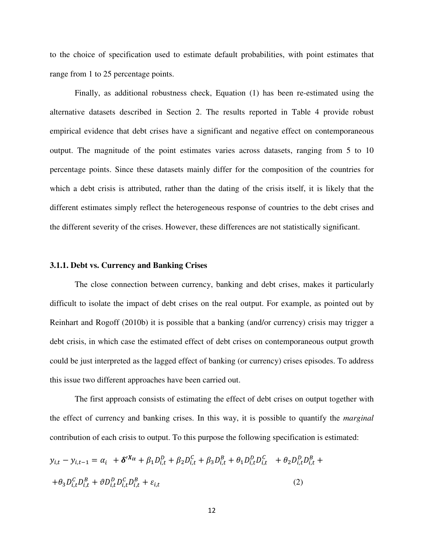to the choice of specification used to estimate default probabilities, with point estimates that range from 1 to 25 percentage points.

Finally, as additional robustness check, Equation (1) has been re-estimated using the alternative datasets described in Section 2. The results reported in Table 4 provide robust empirical evidence that debt crises have a significant and negative effect on contemporaneous output. The magnitude of the point estimates varies across datasets, ranging from 5 to 10 percentage points. Since these datasets mainly differ for the composition of the countries for which a debt crisis is attributed, rather than the dating of the crisis itself, it is likely that the different estimates simply reflect the heterogeneous response of countries to the debt crises and the different severity of the crises. However, these differences are not statistically significant.

#### **3.1.1. Debt vs. Currency and Banking Crises**

The close connection between currency, banking and debt crises, makes it particularly difficult to isolate the impact of debt crises on the real output. For example, as pointed out by Reinhart and Rogoff (2010b) it is possible that a banking (and/or currency) crisis may trigger a debt crisis, in which case the estimated effect of debt crises on contemporaneous output growth could be just interpreted as the lagged effect of banking (or currency) crises episodes. To address this issue two different approaches have been carried out.

The first approach consists of estimating the effect of debt crises on output together with the effect of currency and banking crises. In this way, it is possible to quantify the *marginal* contribution of each crisis to output. To this purpose the following specification is estimated:

$$
y_{i,t} - y_{i,t-1} = \alpha_i + \delta^{\prime X_{it}} + \beta_1 D_{i,t}^D + \beta_2 D_{i,t}^C + \beta_3 D_{i,t}^B + \theta_1 D_{i,t}^D D_{i,t}^C + \theta_2 D_{i,t}^D D_{i,t}^B +
$$
  
+ 
$$
\theta_3 D_{i,t}^C D_{i,t}^B + \theta D_{i,t}^D D_{i,t}^C D_{i,t}^B + \varepsilon_{i,t}
$$
 (2)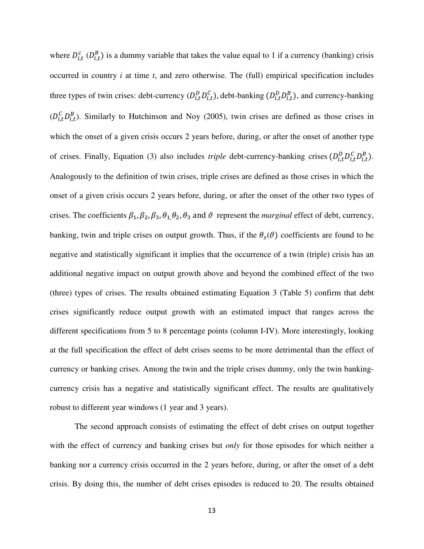where  $D_{i,t}^c$  ( $D_{i,t}^B$ ) is a dummy variable that takes the value equal to 1 if a currency (banking) crisis occurred in country *i* at time *t*, and zero otherwise. The (full) empirical specification includes three types of twin crises: debt-currency  $(D_{i,t}^D D_{i,t}^C)$ , debt-banking  $(D_{i,t}^D D_{i,t}^B)$ , and currency-banking  $(D_{i,t}^C D_{i,t}^B)$ . Similarly to Hutchinson and Noy (2005), twin crises are defined as those crises in which the onset of a given crisis occurs 2 years before, during, or after the onset of another type of crises. Finally, Equation (3) also includes *triple* debt-currency-banking crises  $(D_{i,t}^D D_{i,t}^C D_{i,t}^B)$ . Analogously to the definition of twin crises, triple crises are defined as those crises in which the onset of a given crisis occurs 2 years before, during, or after the onset of the other two types of crises. The coefficients  $\beta_1$ ,  $\beta_2$ ,  $\beta_3$ ,  $\theta_1$ ,  $\theta_2$ ,  $\theta_3$  and  $\vartheta$  represent the *marginal* effect of debt, currency, banking, twin and triple crises on output growth. Thus, if the  $\theta_s(\vartheta)$  coefficients are found to be negative and statistically significant it implies that the occurrence of a twin (triple) crisis has an additional negative impact on output growth above and beyond the combined effect of the two (three) types of crises. The results obtained estimating Equation 3 (Table 5) confirm that debt crises significantly reduce output growth with an estimated impact that ranges across the different specifications from 5 to 8 percentage points (column I-IV). More interestingly, looking at the full specification the effect of debt crises seems to be more detrimental than the effect of currency or banking crises. Among the twin and the triple crises dummy, only the twin bankingcurrency crisis has a negative and statistically significant effect. The results are qualitatively robust to different year windows (1 year and 3 years).

The second approach consists of estimating the effect of debt crises on output together with the effect of currency and banking crises but *only* for those episodes for which neither a banking nor a currency crisis occurred in the 2 years before, during, or after the onset of a debt crisis. By doing this, the number of debt crises episodes is reduced to 20. The results obtained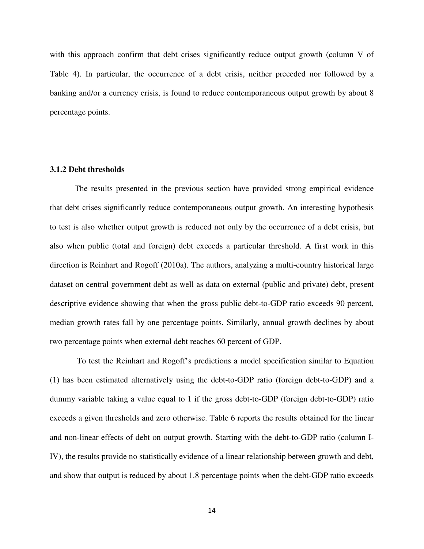with this approach confirm that debt crises significantly reduce output growth (column V of Table 4). In particular, the occurrence of a debt crisis, neither preceded nor followed by a banking and/or a currency crisis, is found to reduce contemporaneous output growth by about 8 percentage points.

#### **3.1.2 Debt thresholds**

The results presented in the previous section have provided strong empirical evidence that debt crises significantly reduce contemporaneous output growth. An interesting hypothesis to test is also whether output growth is reduced not only by the occurrence of a debt crisis, but also when public (total and foreign) debt exceeds a particular threshold. A first work in this direction is Reinhart and Rogoff (2010a). The authors, analyzing a multi-country historical large dataset on central government debt as well as data on external (public and private) debt, present descriptive evidence showing that when the gross public debt-to-GDP ratio exceeds 90 percent, median growth rates fall by one percentage points. Similarly, annual growth declines by about two percentage points when external debt reaches 60 percent of GDP.

 To test the Reinhart and Rogoff's predictions a model specification similar to Equation (1) has been estimated alternatively using the debt-to-GDP ratio (foreign debt-to-GDP) and a dummy variable taking a value equal to 1 if the gross debt-to-GDP (foreign debt-to-GDP) ratio exceeds a given thresholds and zero otherwise. Table 6 reports the results obtained for the linear and non-linear effects of debt on output growth. Starting with the debt-to-GDP ratio (column I-IV), the results provide no statistically evidence of a linear relationship between growth and debt, and show that output is reduced by about 1.8 percentage points when the debt-GDP ratio exceeds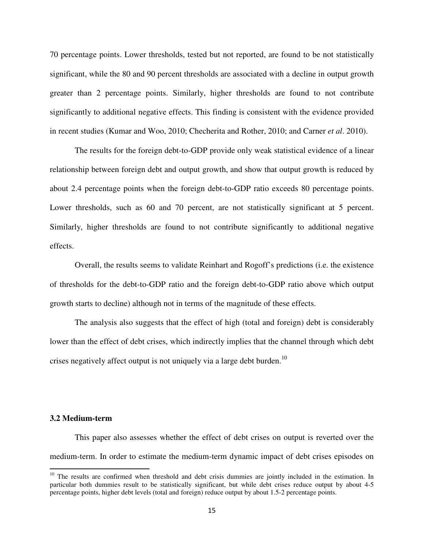70 percentage points. Lower thresholds, tested but not reported, are found to be not statistically significant, while the 80 and 90 percent thresholds are associated with a decline in output growth greater than 2 percentage points. Similarly, higher thresholds are found to not contribute significantly to additional negative effects. This finding is consistent with the evidence provided in recent studies (Kumar and Woo, 2010; Checherita and Rother, 2010; and Carner *et al*. 2010).

The results for the foreign debt-to-GDP provide only weak statistical evidence of a linear relationship between foreign debt and output growth, and show that output growth is reduced by about 2.4 percentage points when the foreign debt-to-GDP ratio exceeds 80 percentage points. Lower thresholds, such as 60 and 70 percent, are not statistically significant at 5 percent. Similarly, higher thresholds are found to not contribute significantly to additional negative effects.

 Overall, the results seems to validate Reinhart and Rogoff's predictions (i.e. the existence of thresholds for the debt-to-GDP ratio and the foreign debt-to-GDP ratio above which output growth starts to decline) although not in terms of the magnitude of these effects.

The analysis also suggests that the effect of high (total and foreign) debt is considerably lower than the effect of debt crises, which indirectly implies that the channel through which debt crises negatively affect output is not uniquely via a large debt burden.<sup>10</sup>

#### **3.2 Medium-term**

 $\overline{\phantom{0}}$ 

This paper also assesses whether the effect of debt crises on output is reverted over the medium-term. In order to estimate the medium-term dynamic impact of debt crises episodes on

<sup>&</sup>lt;sup>10</sup> The results are confirmed when threshold and debt crisis dummies are jointly included in the estimation. In particular both dummies result to be statistically significant, but while debt crises reduce output by about 4-5 percentage points, higher debt levels (total and foreign) reduce output by about 1.5-2 percentage points.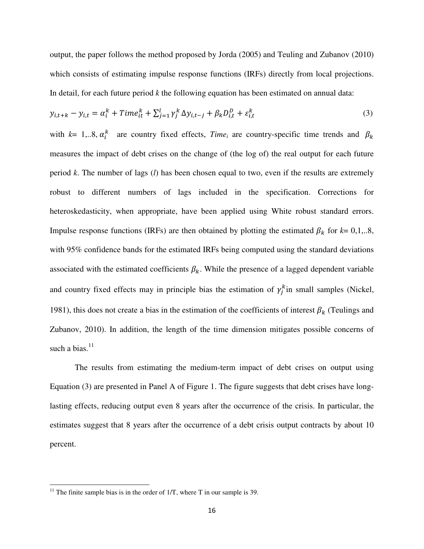output, the paper follows the method proposed by Jorda (2005) and Teuling and Zubanov (2010) which consists of estimating impulse response functions (IRFs) directly from local projections. In detail, for each future period *k* the following equation has been estimated on annual data:

$$
y_{i,t+k} - y_{i,t} = \alpha_i^k + Time_{it}^k + \sum_{j=1}^l \gamma_j^k \Delta y_{i,t-j} + \beta_k D_{i,t}^D + \varepsilon_{i,t}^k
$$
 (3)

with  $k=1,..8$ ,  $\alpha_i^k$  are country fixed effects, *Time<sub>i</sub>* are country-specific time trends and  $\beta_k$ measures the impact of debt crises on the change of (the log of) the real output for each future period *k*. The number of lags (*l*) has been chosen equal to two, even if the results are extremely robust to different numbers of lags included in the specification. Corrections for heteroskedasticity, when appropriate, have been applied using White robust standard errors. Impulse response functions (IRFs) are then obtained by plotting the estimated  $\beta_k$  for  $k=0,1,..8$ , with 95% confidence bands for the estimated IRFs being computed using the standard deviations associated with the estimated coefficients  $\beta_k$ . While the presence of a lagged dependent variable and country fixed effects may in principle bias the estimation of  $\gamma_j^k$  in small samples (Nickel, 1981), this does not create a bias in the estimation of the coefficients of interest  $\beta_k$  (Teulings and Zubanov, 2010). In addition, the length of the time dimension mitigates possible concerns of such a bias. $11$ 

The results from estimating the medium-term impact of debt crises on output using Equation (3) are presented in Panel A of Figure 1. The figure suggests that debt crises have longlasting effects, reducing output even 8 years after the occurrence of the crisis. In particular, the estimates suggest that 8 years after the occurrence of a debt crisis output contracts by about 10 percent.

l

<sup>&</sup>lt;sup>11</sup> The finite sample bias is in the order of  $1/T$ , where T in our sample is 39.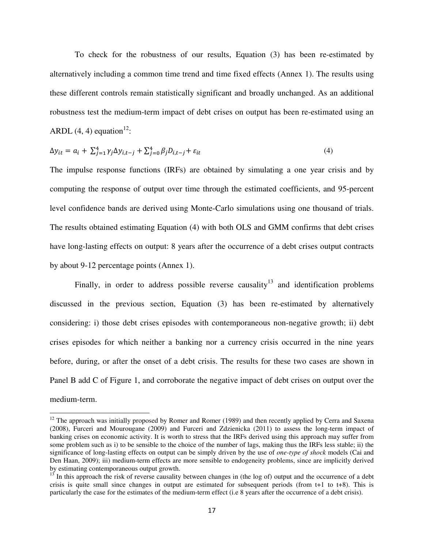To check for the robustness of our results, Equation (3) has been re-estimated by alternatively including a common time trend and time fixed effects (Annex 1). The results using these different controls remain statistically significant and broadly unchanged. As an additional robustness test the medium-term impact of debt crises on output has been re-estimated using an ARDL  $(4, 4)$  equation<sup>12</sup>:

$$
\Delta y_{it} = a_i + \sum_{j=1}^4 \gamma_j \Delta y_{i,t-j} + \sum_{j=0}^4 \beta_j D_{i,t-j} + \varepsilon_{it}
$$
\n
$$
\tag{4}
$$

The impulse response functions (IRFs) are obtained by simulating a one year crisis and by computing the response of output over time through the estimated coefficients, and 95-percent level confidence bands are derived using Monte-Carlo simulations using one thousand of trials. The results obtained estimating Equation (4) with both OLS and GMM confirms that debt crises have long-lasting effects on output: 8 years after the occurrence of a debt crises output contracts by about 9-12 percentage points (Annex 1).

Finally, in order to address possible reverse causality<sup>13</sup> and identification problems discussed in the previous section, Equation (3) has been re-estimated by alternatively considering: i) those debt crises episodes with contemporaneous non-negative growth; ii) debt crises episodes for which neither a banking nor a currency crisis occurred in the nine years before, during, or after the onset of a debt crisis. The results for these two cases are shown in Panel B add C of Figure 1, and corroborate the negative impact of debt crises on output over the medium-term.

l

 $12$  The approach was initially proposed by Romer and Romer (1989) and then recently applied by Cerra and Saxena (2008), Furceri and Mourougane (2009) and Furceri and Zdzienicka (2011) to assess the long-term impact of banking crises on economic activity. It is worth to stress that the IRFs derived using this approach may suffer from some problem such as i) to be sensible to the choice of the number of lags, making thus the IRFs less stable; ii) the significance of long-lasting effects on output can be simply driven by the use of *one-type of shock* models (Cai and Den Haan, 2009); iii) medium-term effects are more sensible to endogeneity problems, since are implicitly derived by estimating contemporaneous output growth.

 $13$  In this approach the risk of reverse causality between changes in (the log of) output and the occurrence of a debt crisis is quite small since changes in output are estimated for subsequent periods (from t+1 to t+8). This is particularly the case for the estimates of the medium-term effect (i.e 8 years after the occurrence of a debt crisis).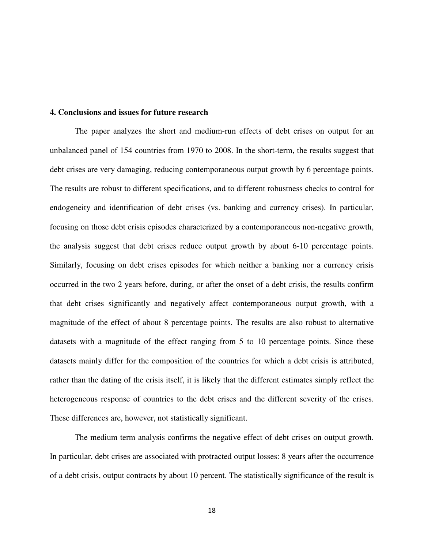#### **4. Conclusions and issues for future research**

The paper analyzes the short and medium-run effects of debt crises on output for an unbalanced panel of 154 countries from 1970 to 2008. In the short-term, the results suggest that debt crises are very damaging, reducing contemporaneous output growth by 6 percentage points. The results are robust to different specifications, and to different robustness checks to control for endogeneity and identification of debt crises (vs. banking and currency crises). In particular, focusing on those debt crisis episodes characterized by a contemporaneous non-negative growth, the analysis suggest that debt crises reduce output growth by about 6-10 percentage points. Similarly, focusing on debt crises episodes for which neither a banking nor a currency crisis occurred in the two 2 years before, during, or after the onset of a debt crisis, the results confirm that debt crises significantly and negatively affect contemporaneous output growth, with a magnitude of the effect of about 8 percentage points. The results are also robust to alternative datasets with a magnitude of the effect ranging from 5 to 10 percentage points. Since these datasets mainly differ for the composition of the countries for which a debt crisis is attributed, rather than the dating of the crisis itself, it is likely that the different estimates simply reflect the heterogeneous response of countries to the debt crises and the different severity of the crises. These differences are, however, not statistically significant.

The medium term analysis confirms the negative effect of debt crises on output growth. In particular, debt crises are associated with protracted output losses: 8 years after the occurrence of a debt crisis, output contracts by about 10 percent. The statistically significance of the result is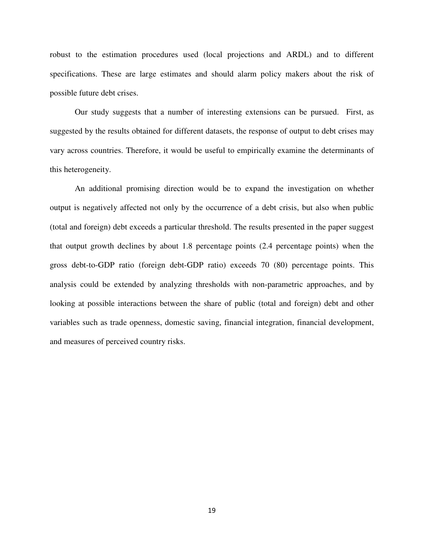robust to the estimation procedures used (local projections and ARDL) and to different specifications. These are large estimates and should alarm policy makers about the risk of possible future debt crises.

Our study suggests that a number of interesting extensions can be pursued. First, as suggested by the results obtained for different datasets, the response of output to debt crises may vary across countries. Therefore, it would be useful to empirically examine the determinants of this heterogeneity.

An additional promising direction would be to expand the investigation on whether output is negatively affected not only by the occurrence of a debt crisis, but also when public (total and foreign) debt exceeds a particular threshold. The results presented in the paper suggest that output growth declines by about 1.8 percentage points (2.4 percentage points) when the gross debt-to-GDP ratio (foreign debt-GDP ratio) exceeds 70 (80) percentage points. This analysis could be extended by analyzing thresholds with non-parametric approaches, and by looking at possible interactions between the share of public (total and foreign) debt and other variables such as trade openness, domestic saving, financial integration, financial development, and measures of perceived country risks.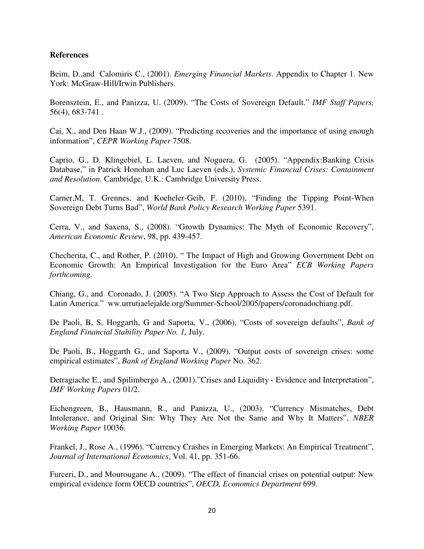## **References**

Beim, D.,and Calomiris C., (2001). *Emerging Financial Markets*. Appendix to Chapter 1. New York: McGraw-Hill/Irwin Publishers.

Borensztein, E., and Panizza, U. (2009). "The Costs of Sovereign Default." *IMF Staff Papers,* 56(4), 683-741 .

Cai, X., and Den Haan W.J., (2009). "Predicting recoveries and the importance of using enough information", *CEPR Working Paper* 7508.

Caprio, G., D. Klingebiel, L. Laeven, and Noguera, G. (2005). "Appendix:Banking Crisis Database," in Patrick Honohan and Luc Laeven (eds.), *Systemic Financial Crises: Containment and Resolution.* Cambridge, U.K.: Cambridge University Press.

Carner,M, T. Grennes, and Koeheler-Geib, F. (2010), "Finding the Tipping Point-When Sovereign Debt Turns Bad", *World Bank Policy Research Working Paper* 5391.

Cerra, V., and Saxena, S., (2008). "Growth Dynamics: The Myth of Economic Recovery", *American Economic Review*, 98, pp. 439-457.

Checherita, C., and Rother, P. (2010). " The Impact of High and Growing Government Debt on Economic Growth: An Empirical Investigation for the Euro Area" *ECB Working Papers forthcoming.*

Chiang, G., and Coronado, J. (2005). "A Two Step Approach to Assess the Cost of Default for Latin America." ww.urrutiaelejalde.org/Summer-School/2005/papers/coronadochiang.pdf.

De Paoli, B, S, Hoggarth, G and Saporta, V., (2006), "Costs of sovereign defaults", *Bank of England Financial Stability Paper No. 1,* July.

De Paoli, B., Hoggarth G., and Saporta V., (2009). "Output costs of sovereign crises: some empirical estimates", *Bank of England Working Paper* No. 362.

Detragiache E., and Spilimbergo A., (2001)."Crises and Liquidity - Evidence and Interpretation", *IMF Working Papers* 01/2.

Eichengreen, B., Hausmann, R., and Panizza, U., (2003). "Currency Mismatches, Debt Intolerance, and Original Sin: Why They Are Not the Same and Why It Matters", *NBER Working Paper* 10036.

Frankel, J., Rose A., (1996). "Currency Crashes in Emerging Markets: An Empirical Treatment", *Journal of International Economics*, Vol. 41, pp. 351-66.

Furceri, D., and Mourougane A., (2009). "The effect of financial crises on potential output: New empirical evidence form OECD countries", *OECD, Economics Department* 699.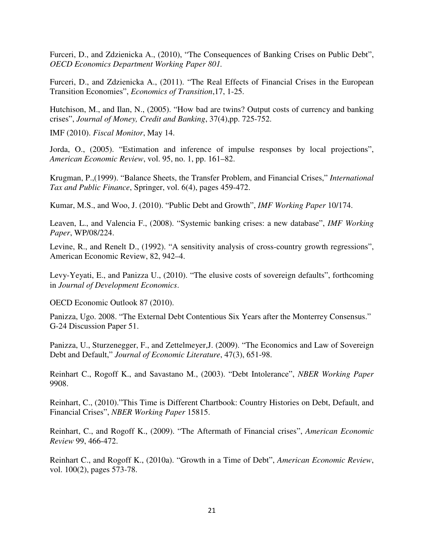Furceri, D., and Zdzienicka A., (2010), "The Consequences of Banking Crises on Public Debt", *OECD Economics Department Working Paper 801.* 

Furceri, D., and Zdzienicka A., (2011). "The Real Effects of Financial Crises in the European Transition Economies", *Economics of Transition*,17, 1-25.

Hutchison, M., and Ilan, N., (2005). "How bad are twins? Output costs of currency and banking crises", *Journal of Money, Credit and Banking*, 37(4),pp. 725-752.

IMF (2010). *Fiscal Monitor*, May 14.

Jorda, O., (2005). "Estimation and inference of impulse responses by local projections", *American Economic Review*, vol. 95, no. 1, pp. 161–82.

Krugman, P.,(1999). "Balance Sheets, the Transfer Problem, and Financial Crises," *International Tax and Public Finance*, Springer, vol. 6(4), pages 459-472.

Kumar, M.S., and Woo, J. (2010). "Public Debt and Growth", *IMF Working Paper* 10/174.

Leaven, L., and Valencia F., (2008). "Systemic banking crises: a new database", *IMF Working Paper*, WP/08/224.

Levine, R., and Renelt D., (1992). "A sensitivity analysis of cross-country growth regressions", American Economic Review, 82, 942–4.

Levy-Yeyati, E., and Panizza U., (2010). "The elusive costs of sovereign defaults", forthcoming in *Journal of Development Economics*.

OECD Economic Outlook 87 (2010).

Panizza, Ugo. 2008. "The External Debt Contentious Six Years after the Monterrey Consensus." G-24 Discussion Paper 51.

Panizza, U., Sturzenegger, F., and Zettelmeyer,J. (2009). "The Economics and Law of Sovereign Debt and Default," *Journal of Economic Literature*, 47(3), 651-98.

Reinhart C., Rogoff K., and Savastano M., (2003). "Debt Intolerance", *NBER Working Paper*  9908.

Reinhart, C., (2010)."This Time is Different Chartbook: Country Histories on Debt, Default, and Financial Crises", *NBER Working Paper* 15815.

Reinhart, C., and Rogoff K., (2009). "The Aftermath of Financial crises", *American Economic Review* 99, 466-472.

Reinhart C., and Rogoff K., (2010a). "Growth in a Time of Debt", *American Economic Review*, vol. 100(2), pages 573-78.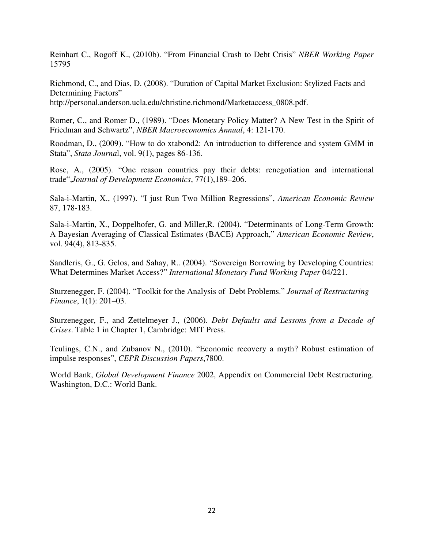Reinhart C., Rogoff K., (2010b). "From Financial Crash to Debt Crisis" *NBER Working Paper* 15795

Richmond, C., and Dias, D. (2008). "Duration of Capital Market Exclusion: Stylized Facts and Determining Factors" http://personal.anderson.ucla.edu/christine.richmond/Marketaccess\_0808.pdf.

Romer, C., and Romer D., (1989). "Does Monetary Policy Matter? A New Test in the Spirit of Friedman and Schwartz", *NBER Macroeconomics Annual*, 4: 121-170.

Roodman, D., (2009). "How to do xtabond2: An introduction to difference and system GMM in Stata", *Stata Journa*l, vol. 9(1), pages 86-136.

Rose, A., (2005). "One reason countries pay their debts: renegotiation and international trade",*Journal of Development Economics*, 77(1),189–206.

Sala-i-Martin, X., (1997). "I just Run Two Million Regressions", *American Economic Review* 87, 178-183.

Sala-i-Martin, X., Doppelhofer, G. and Miller,R. (2004). "Determinants of Long-Term Growth: A Bayesian Averaging of Classical Estimates (BACE) Approach," *American Economic Review*, vol. 94(4), 813-835.

Sandleris, G., G. Gelos, and Sahay, R.. (2004). "Sovereign Borrowing by Developing Countries: What Determines Market Access?" *International Monetary Fund Working Paper* 04/221.

Sturzenegger, F. (2004). "Toolkit for the Analysis of Debt Problems." *Journal of Restructuring Finance*, 1(1): 201–03.

Sturzenegger, F., and Zettelmeyer J., (2006). *Debt Defaults and Lessons from a Decade of Crises*. Table 1 in Chapter 1, Cambridge: MIT Press.

Teulings, C.N., and Zubanov N., (2010). "Economic recovery a myth? Robust estimation of impulse responses", *CEPR Discussion Papers*,7800.

World Bank, *Global Development Finance* 2002, Appendix on Commercial Debt Restructuring. Washington, D.C.: World Bank.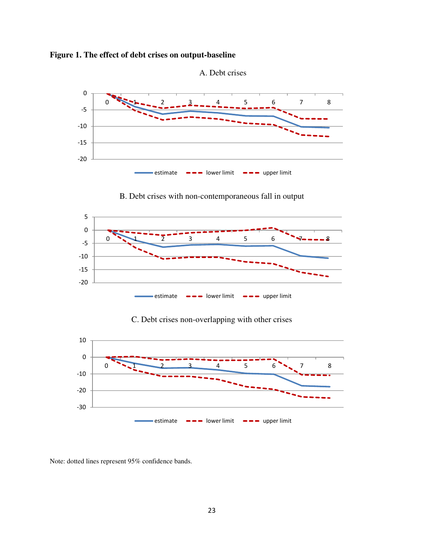





B. Debt crises with non-contemporaneous fall in output



## C. Debt crises non-overlapping with other crises



Note: dotted lines represent 95% confidence bands.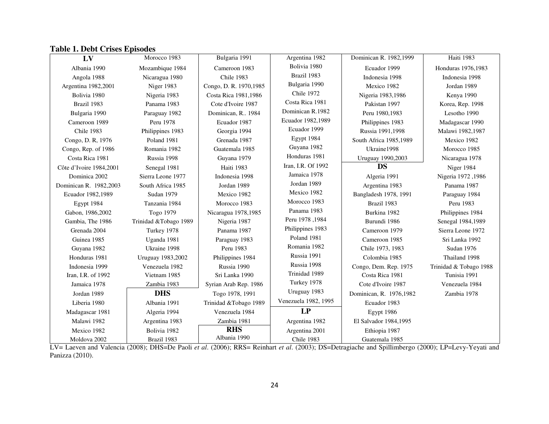## **Table 1. Debt Crises Episodes**

| LV                      | Morocco 1983          | Bulgaria 1991           | Argentina 1982       | Dominican R. 1982,1999   | Haiti 1983             |
|-------------------------|-----------------------|-------------------------|----------------------|--------------------------|------------------------|
| Albania 1990            | Mozambique 1984       | Cameroon 1983           | Bolivia 1980         | Ecuador 1999             | Honduras 1976,1983     |
| Angola 1988             | Nicaragua 1980        | Chile 1983              | Brazil 1983          | Indonesia 1998           | Indonesia 1998         |
| Argentina 1982,2001     | Niger 1983            | Congo, D. R. 1970, 1985 | Bulgaria 1990        | Mexico 1982              | Jordan 1989            |
| Bolivia 1980            | Nigeria 1983          | Costa Rica 1981,1986    | <b>Chile 1972</b>    | Nigeria 1983,1986        | Kenya 1990             |
| Brazil 1983             | Panama 1983           | Cote d'Ivoire 1987      | Costa Rica 1981      | Pakistan 1997            | Korea, Rep. 1998       |
| Bulgaria 1990           | Paraguay 1982         | Dominican, R., 1984     | Dominican R.1982     | Peru 1980,1983           | Lesotho 1990           |
| Cameroon 1989           | Peru 1978             | Ecuador 1987            | Ecuador 1982,1989    | Philippines 1983         | Madagascar 1990        |
| Chile 1983              | Philippines 1983      | Georgia 1994            | Ecuador 1999         | Russia 1991,1998         | Malawi 1982,1987       |
| Congo, D. R, 1976       | Poland 1981           | Grenada 1987            | Egypt 1984           | South Africa 1985,1989   | Mexico 1982            |
| Congo, Rep. of 1986     | Romania 1982          | Guatemala 1985          | Guyana 1982          | Ukraine1998              | Morocco 1985           |
| Costa Rica 1981         | Russia 1998           | Guyana 1979             | Honduras 1981        | Uruguay 1990,2003        | Nicaragua 1978         |
| Côte d'Ivoire 1984,2001 | Senegal 1981          | Haiti 1983              | Iran, I.R. Of 1992   | <b>DS</b>                | Niger 1984             |
| Dominica 2002           | Sierra Leone 1977     | Indonesia 1998          | Jamaica 1978         | Algeria 1991             | Nigeria 1972, 1986     |
| Dominican R. 1982,2003  | South Africa 1985     | Jordan 1989             | Jordan 1989          | Argentina 1983           | Panama 1987            |
| Ecuador 1982,1989       | <b>Sudan 1979</b>     | Mexico 1982             | Mexico 1982          | Bangladesh 1978, 1991    | Paraguay 1984          |
| Egypt 1984              | Tanzania 1984         | Morocco 1983            | Morocco 1983         | Brazil 1983              | Peru 1983              |
| Gabon, 1986,2002        | Togo 1979             | Nicaragua 1978,1985     | Panama 1983          | Burkina 1982             | Philippines 1984       |
| Gambia, The 1986        | Trinidad &Tobago 1989 | Nigeria 1987            | Peru 1978, 1984      | Burundi 1986             | Senegal 1984,1989      |
| Grenada 2004            | Turkey 1978           | Panama 1987             | Philippines 1983     | Cameroon 1979            | Sierra Leone 1972      |
| Guinea 1985             | Uganda 1981           | Paraguay 1983           | Poland 1981          | Cameroon 1985            | Sri Lanka 1992         |
| Guyana 1982             | Ukraine 1998          | Peru 1983               | Romania 1982         | Chile 1973, 1983         | Sudan 1976             |
| Honduras 1981           | Uruguay 1983,2002     | Philippines 1984        | Russia 1991          | Colombia 1985            | Thailand 1998          |
| Indonesia 1999          | Venezuela 1982        | Russia 1990             | Russia 1998          | Congo, Dem. Rep. 1975    | Trinidad & Tobago 1988 |
| Iran, I.R. of 1992      | Vietnam 1985          | Sri Lanka 1990          | Trinidad 1989        | Costa Rica 1981          | Tunisia 1991           |
| Jamaica 1978            | Zambia 1983           | Syrian Arab Rep. 1986   | Turkey 1978          | Cote d'Ivoire 1987       | Venezuela 1984         |
| Jordan 1989             | <b>DHS</b>            | Togo 1978, 1991         | Uruguay 1983         | Dominican, R. 1976, 1982 | Zambia 1978            |
| Liberia 1980            | Albania 1991          | Trinidad &Tobago 1989   | Venezuela 1982, 1995 | Ecuador 1983             |                        |
| Madagascar 1981         | Algeria 1994          | Venezuela 1984          | LP                   | Egypt 1986               |                        |
| Malawi 1982             | Argentina 1983        | Zambia 1981             | Argentina 1982       | El Salvador 1984,1995    |                        |
| Mexico 1982             | Bolivia 1982          | <b>RHS</b>              | Argentina 2001       | Ethiopia 1987            |                        |
| Moldova 2002            | Brazil 1983           | Albania 1990            | Chile 1983           | Guatemala 1985           |                        |

LV= Laeven and Valencia (2008); DHS=De Paoli *et al*. (2006); RRS= Reinhart *et al*. (2003); DS=Detragiache and Spillimbergo (2000); LP=Levy-Yeyati and Panizza (2010).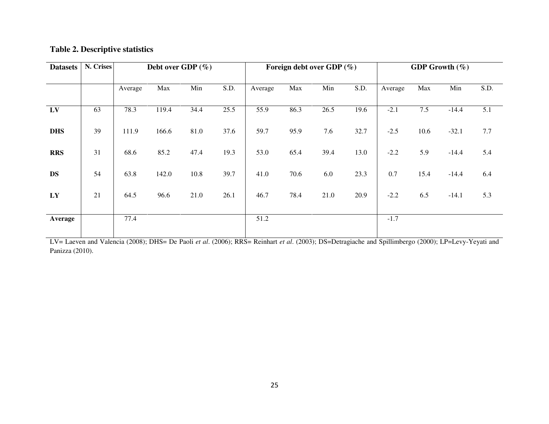## **Table 2. Descriptive statistics**

| <b>Datasets</b> | N. Crises | Debt over GDP $(\% )$ |       |      | Foreign debt over GDP $(\% )$ |         |      |      | <b>GDP Growth</b> $(\%)$ |         |      |         |      |
|-----------------|-----------|-----------------------|-------|------|-------------------------------|---------|------|------|--------------------------|---------|------|---------|------|
|                 |           |                       |       |      |                               |         |      |      |                          |         |      |         |      |
|                 |           | Average               | Max   | Min  | S.D.                          | Average | Max  | Min  | S.D.                     | Average | Max  | Min     | S.D. |
| LV              | 63        | 78.3                  | 119.4 | 34.4 | 25.5                          | 55.9    | 86.3 | 26.5 | 19.6                     | $-2.1$  | 7.5  | $-14.4$ | 5.1  |
| <b>DHS</b>      | 39        | 111.9                 | 166.6 | 81.0 | 37.6                          | 59.7    | 95.9 | 7.6  | 32.7                     | $-2.5$  | 10.6 | $-32.1$ | 7.7  |
| <b>RRS</b>      | 31        | 68.6                  | 85.2  | 47.4 | 19.3                          | 53.0    | 65.4 | 39.4 | 13.0                     | $-2.2$  | 5.9  | $-14.4$ | 5.4  |
| <b>DS</b>       | 54        | 63.8                  | 142.0 | 10.8 | 39.7                          | 41.0    | 70.6 | 6.0  | 23.3                     | 0.7     | 15.4 | $-14.4$ | 6.4  |
| LY              | 21        | 64.5                  | 96.6  | 21.0 | 26.1                          | 46.7    | 78.4 | 21.0 | 20.9                     | $-2.2$  | 6.5  | $-14.1$ | 5.3  |
| Average         |           | 77.4                  |       |      |                               | 51.2    |      |      |                          | $-1.7$  |      |         |      |

LV= Laeven and Valencia (2008); DHS= De Paoli *et al*. (2006); RRS= Reinhart *et al*. (2003); DS=Detragiache and Spillimbergo (2000); LP=Levy-Yeyati and Panizza (2010).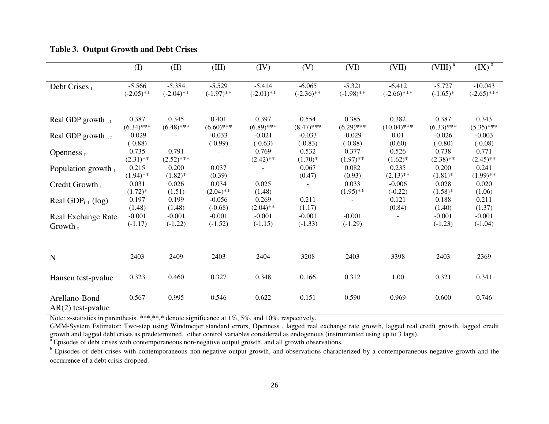|                                         | (1)                      | (II)                     | (III)                    | (IV)                     | (V)                      | (VI)                     | (VII)                     | $(VIII)^a$              | $(X)^{\mathfrak{b}}$       |
|-----------------------------------------|--------------------------|--------------------------|--------------------------|--------------------------|--------------------------|--------------------------|---------------------------|-------------------------|----------------------------|
| Debt Crises t                           | $-5.566$<br>$(-2.05)$ ** | $-5.384$<br>$(-2.04)$ ** | $-5.529$<br>$(-1.97)$ ** | $-5.414$<br>$(-2.01)$ ** | $-6.065$<br>$(-2.36)$ ** | $-5.321$<br>$(-1.98)$ ** | $-6.412$<br>$(-2.66)$ *** | $-5.727$<br>$(-1.65)$ * | $-10.043$<br>$(-2.65)$ *** |
| Real GDP growth $_{t-1}$                | 0.387<br>$(6.34)$ ***    | 0.345<br>$(6.48)$ ***    | 0.401<br>$(6.60)$ ***    | 0.397<br>$(6.89)$ ***    | 0.554<br>$(8.47)$ ***    | 0.385<br>$(6.29)$ ***    | 0.382<br>$(10.04)$ ***    | 0.387<br>$(6.33)$ ***   | 0.343<br>$(5.35)$ ***      |
| Real GDP growth $_{t-2}$                | $-0.029$<br>$(-0.88)$    |                          | $-0.033$<br>$(-0.99)$    | $-0.021$<br>$(-0.63)$    | $-0.033$<br>$(-0.83)$    | $-0.029$<br>$(-0.88)$    | 0.01<br>(0.60)            | $-0.026$<br>$(-0.80)$   | $-0.003$<br>$(-0.08)$      |
| Openness $t$                            | 0.735<br>$(2.31)$ **     | 0.791<br>$(2.52)$ ***    |                          | 0.769<br>$(2.42)$ **     | 0.532<br>$(1.70)*$       | 0.377<br>$(1.97)$ **     | 0.526<br>$(1.62)^*$       | 0.738<br>$(2.38)$ **    | 0.771<br>$(2.45)$ **       |
| Population growth $t$                   | 0.215<br>$(1.94)$ **     | 0.200<br>$(1.82)$ *      | 0.037<br>(0.39)          |                          | 0.067<br>(0.47)          | 0.082<br>(0.93)          | 0.235<br>$(2.13)$ **      | 0.200<br>$(1.81)$ *     | 0.241<br>$(1.99)$ **       |
| Credit Growth $t$                       | 0.031<br>$(1.72)*$       | 0.026<br>(1.51)          | 0.034<br>$(2.04)$ **     | 0.025<br>(1.48)          |                          | 0.033<br>$(1.95)$ **     | $-0.006$<br>$(-0.22)$     | 0.028<br>$(1.58)*$      | 0.020<br>(1.06)            |
| Real $GDP_{t-1}$ (log)                  | 0.197<br>(1.48)          | 0.199<br>(1.48)          | $-0.056$<br>$(-0.68)$    | 0.269<br>$(2.04)$ **     | 0.211<br>(1.17)          |                          | 0.121<br>(0.84)           | 0.188<br>(1.40)         | 0.211<br>(1.37)            |
| <b>Real Exchange Rate</b><br>Growth $t$ | $-0.001$<br>$(-1.17)$    | $-0.001$<br>$(-1.22)$    | $-0.001$<br>$(-1.52)$    | $-0.001$<br>$(-1.15)$    | $-0.001$<br>$(-1.33)$    | $-0.001$<br>$(-1.29)$    |                           | $-0.001$<br>$(-1.23)$   | $-0.001$<br>$(-1.04)$      |
| N                                       | 2403                     | 2409                     | 2403                     | 2404                     | 3208                     | 2403                     | 3398                      | 2403                    | 2369                       |
| Hansen test-pyalue                      | 0.323                    | 0.460                    | 0.327                    | 0.348                    | 0.166                    | 0.312                    | 1.00                      | 0.321                   | 0.341                      |
| Arellano-Bond<br>$AR(2)$ test-pvalue    | 0.567                    | 0.995                    | 0.546                    | 0.622                    | 0.151                    | 0.590                    | 0.969                     | 0.600                   | 0.746                      |

## **Table 3. Output Growth and Debt Crises**

Note: z-statistics in parenthesis. \*\*\*,\*\*,\* denote significance at 1%, 5%, and 10%, respectively.

GMM-System Estimator: Two-step using Windmeijer standard errors, Openness , lagged real exchange rate growth, lagged real credit growth, lagged credit growth and lagged debt crises as predetermined, other control variables considered as endogenous (instrumented using up to 3 lags).

<sup>a</sup> Episodes of debt crises with contemporaneous non-negative output growth, and all growth observations.

<sup>b</sup> Episodes of debt crises with contemporaneous non-negative output growth, and observations characterized by a contemporaneous negative growth and the occurrence of a debt crisis dropped.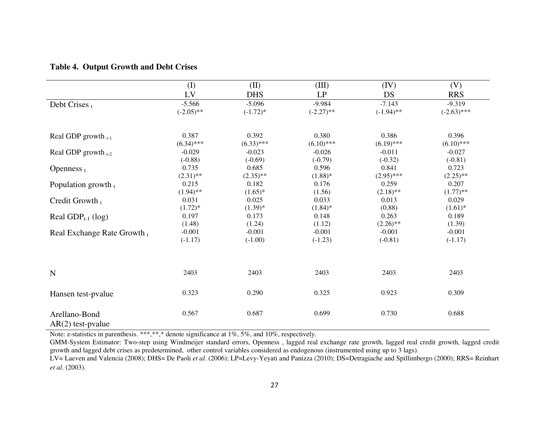## **Table 4. Output Growth and Debt Crises**

|                                      | (I)          | (II)         | (III)        | (IV)         | (V)           |
|--------------------------------------|--------------|--------------|--------------|--------------|---------------|
|                                      | LV           | <b>DHS</b>   | LP           | DS           | <b>RRS</b>    |
| Debt Crises $t$                      | $-5.566$     | $-5.096$     | $-9.984$     | $-7.143$     | $-9.319$      |
|                                      | $(-2.05)$ ** | $(-1.72)^*$  | $(-2.27)$ ** | $(-1.94)$ ** | $(-2.63)$ *** |
| Real GDP growth $_{t-1}$             | 0.387        | 0.392        | 0.380        | 0.386        | 0.396         |
|                                      | $(6.34)$ *** | $(6.33)$ *** | $(6.10)$ *** | $(6.19)$ *** | $(6.10)$ ***  |
| Real GDP growth $_{t-2}$             | $-0.029$     | $-0.023$     | $-0.026$     | $-0.011$     | $-0.027$      |
|                                      | $(-0.88)$    | $(-0.69)$    | $(-0.79)$    | $(-0.32)$    | $(-0.81)$     |
| Openness $t$                         | 0.735        | 0.685        | 0.596        | 0.841        | 0.723         |
|                                      | $(2.31)$ **  | $(2.35)$ **  | $(1.88)$ *   | $(2.95)$ *** | $(2.25)$ **   |
| Population growth $t$                | 0.215        | 0.182        | 0.176        | 0.259        | 0.207         |
|                                      | $(1.94)$ **  | $(1.65)^*$   | (1.56)       | $(2.18)$ **  | $(1.77)$ **   |
| Credit Growth t                      | 0.031        | 0.025        | 0.033        | 0.013        | 0.029         |
|                                      | $(1.72)^*$   | $(1.39)^{*}$ | $(1.84)$ *   | (0.88)       | $(1.61)^*$    |
| Real $GDP_{t-1}$ (log)               | 0.197        | 0.173        | 0.148        | 0.263        | 0.189         |
|                                      | (1.48)       | (1.24)       | (1.12)       | $(2.26)$ **  | (1.39)        |
| Real Exchange Rate Growth $t$        | $-0.001$     | $-0.001$     | $-0.001$     | $-0.001$     | $-0.001$      |
|                                      | $(-1.17)$    | $(-1.00)$    | $(-1.23)$    | $(-0.81)$    | $(-1.17)$     |
| N                                    | 2403         | 2403         | 2403         | 2403         | 2403          |
|                                      |              |              |              |              |               |
| Hansen test-pvalue                   | 0.323        | 0.290        | 0.325        | 0.923        | 0.309         |
| Arellano-Bond<br>$AR(2)$ test-pvalue | 0.567        | 0.687        | 0.699        | 0.730        | 0.688         |

Note: z-statistics in parenthesis. \*\*\*,\*\*,\* denote significance at 1%, 5%, and 10%, respectively.

GMM-System Estimator: Two-step using Windmeijer standard errors, Openness , lagged real exchange rate growth, lagged real credit growth, lagged credit growth and lagged debt crises as predetermined, other control variables considered as endogenous (instrumented using up to 3 lags).

LV= Laeven and Valencia (2008); DHS= De Paoli *et al*. (2006); LP=Levy-Yeyati and Panizza (2010); DS=Detragiache and Spillimbergo (2000); RRS= Reinhart *et al*. (2003).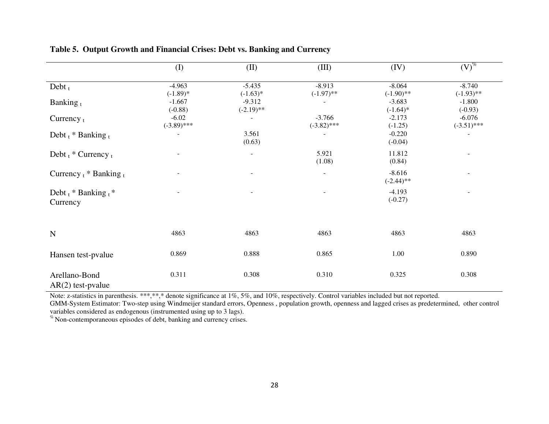|                                      | (I)                      | (II)                     | (III)                     | (IV)                     | $(V)^{\%}$                |
|--------------------------------------|--------------------------|--------------------------|---------------------------|--------------------------|---------------------------|
| Debt $t$                             | $-4.963$<br>$(-1.89)$ *  | $-5.435$<br>$(-1.63)*$   | $-8.913$<br>$(-1.97)$ **  | $-8.064$<br>$(-1.90)$ ** | $-8.740$<br>$(-1.93)$ **  |
| Banking $_{t}$                       | $-1.667$<br>$(-0.88)$    | $-9.312$<br>$(-2.19)$ ** |                           | $-3.683$<br>$(-1.64)$ *  | $-1.800$<br>$(-0.93)$     |
| Currency $t$                         | $-6.02$<br>$(-3.89)$ *** |                          | $-3.766$<br>$(-3.82)$ *** | $-2.173$<br>$(-1.25)$    | $-6.076$<br>$(-3.51)$ *** |
| Debt $t$ * Banking $t$               |                          | 3.561<br>(0.63)          |                           | $-0.220$<br>$(-0.04)$    |                           |
| Debt $t$ * Currency $t$              | $\overline{\phantom{a}}$ | $\blacksquare$           | 5.921<br>(1.08)           | 11.812<br>(0.84)         | $\overline{\phantom{a}}$  |
| Currency $t$ * Banking $t$           |                          |                          |                           | $-8.616$<br>$(-2.44)$ ** | $\sim$                    |
| Debt $t$ * Banking $t$ *<br>Currency |                          |                          |                           | $-4.193$<br>$(-0.27)$    |                           |
|                                      |                          |                          |                           |                          |                           |
| $\mathbf N$                          | 4863                     | 4863                     | 4863                      | 4863                     | 4863                      |
| Hansen test-pvalue                   | 0.869                    | 0.888                    | 0.865                     | 1.00                     | 0.890                     |
| Arellano-Bond<br>$AR(2)$ test-pvalue | 0.311                    | 0.308                    | 0.310                     | 0.325                    | 0.308                     |

## **Table 5. Output Growth and Financial Crises: Debt vs. Banking and Currency**

Note: z-statistics in parenthesis. \*\*\*,\*\*,\* denote significance at 1%, 5%, and 10%, respectively. Control variables included but not reported.

GMM-System Estimator: Two-step using Windmeijer standard errors, Openness , population growth, openness and lagged crises as predetermined, other control variables considered as endogenous (instrumented using up to 3 lags).

% Non-contemporaneous episodes of debt, banking and currency crises.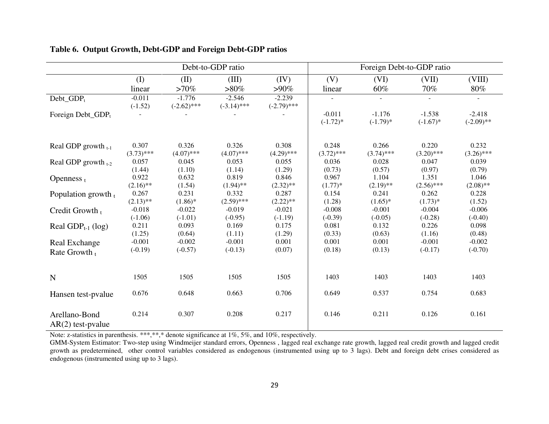|                                      |                       |                           | Debt-to-GDP ratio         |                           | Foreign Debt-to-GDP ratio |                         |                         |                          |  |
|--------------------------------------|-----------------------|---------------------------|---------------------------|---------------------------|---------------------------|-------------------------|-------------------------|--------------------------|--|
|                                      | $($ $\Gamma$          | (II)                      | (III)                     | (IV)                      | (V)                       | (VI)                    | (VII)                   | (VIII)                   |  |
|                                      | linear                | $>70\%$                   | $>80\%$                   | $>90\%$                   | linear                    | 60%                     | 70%                     | 80%                      |  |
| $Debt_GDP_t$                         | $-0.011$<br>$(-1.52)$ | $-1.776$<br>$(-2.62)$ *** | $-2.546$<br>$(-3.14)$ *** | $-2.239$<br>$(-2.79)$ *** |                           |                         |                         |                          |  |
| Foreign Debt_GDP <sub>t</sub>        |                       |                           |                           |                           | $-0.011$<br>$(-1.72)*$    | $-1.176$<br>$(-1.79)$ * | $-1.538$<br>$(-1.67)$ * | $-2.418$<br>$(-2.09)$ ** |  |
| Real GDP growth $_{t-1}$             | 0.307<br>$(3.73)$ *** | 0.326<br>$(4.07)$ ***     | 0.326<br>$(4.07)$ ***     | 0.308<br>$(4.29)$ ***     | 0.248<br>$(3.72)$ ***     | 0.266<br>$(3.74)$ ***   | 0.220<br>$(3.20)$ ***   | 0.232<br>$(3.26)$ ***    |  |
| Real GDP growth $_{t-2}$             | 0.057<br>(1.44)       | 0.045<br>(1.10)           | 0.053<br>(1.14)           | 0.055<br>(1.29)           | 0.036<br>(0.73)           | 0.028<br>(0.57)         | 0.047<br>(0.97)         | 0.039<br>(0.79)          |  |
| Openness $t$                         | 0.922<br>$(2.16)$ **  | 0.632<br>(1.54)           | 0.819<br>$(1.94)$ **      | 0.846<br>$(2.32)$ **      | 0.967<br>$(1.77)*$        | 1.104<br>$(2.19)$ **    | 1.351<br>$(2.56)$ ***   | 1.046<br>$(2.08)$ **     |  |
| Population growth $t$                | 0.267<br>$(2.13)$ **  | 0.231<br>$(1.86)$ *       | 0.332<br>$(2.59)$ ***     | 0.287<br>$(2.22)$ **      | 0.154<br>(1.28)           | 0.241<br>$(1.65)^*$     | 0.262<br>$(1.73)*$      | 0.228<br>(1.52)          |  |
| Credit Growth t                      | $-0.018$<br>$(-1.06)$ | $-0.022$<br>$(-1.01)$     | $-0.019$<br>$(-0.95)$     | $-0.021$<br>$(-1.19)$     | $-0.008$<br>$(-0.39)$     | $-0.001$<br>$(-0.05)$   | $-0.004$<br>$(-0.28)$   | $-0.006$<br>$(-0.40)$    |  |
| Real $GDP_{t-1}$ (log)               | 0.211<br>(1.25)       | 0.093<br>(0.64)           | 0.169<br>(1.11)           | 0.175<br>(1.29)           | 0.081<br>(0.33)           | 0.132<br>(0.63)         | 0.226<br>(1.16)         | 0.098<br>(0.48)          |  |
| Real Exchange<br>Rate Growth $t$     | $-0.001$<br>$(-0.19)$ | $-0.002$<br>$(-0.57)$     | $-0.001$<br>$(-0.13)$     | 0.001<br>(0.07)           | 0.001<br>(0.18)           | 0.001<br>(0.13)         | $-0.001$<br>$(-0.17)$   | $-0.002$<br>$(-0.70)$    |  |
|                                      |                       |                           |                           |                           |                           |                         |                         |                          |  |
| N                                    | 1505                  | 1505                      | 1505                      | 1505                      | 1403                      | 1403                    | 1403                    | 1403                     |  |
| Hansen test-pyalue                   | 0.676                 | 0.648                     | 0.663                     | 0.706                     | 0.649                     | 0.537                   | 0.754                   | 0.683                    |  |
| Arellano-Bond<br>$AR(2)$ test-pvalue | 0.214                 | 0.307                     | 0.208                     | 0.217                     | 0.146                     | 0.211                   | 0.126                   | 0.161                    |  |

## **Table 6. Output Growth, Debt-GDP and Foreign Debt-GDP ratios**

Note: z-statistics in parenthesis. \*\*\*,\*\*,\* denote significance at  $1\%$ , 5%, and  $10\%$ , respectively.

GMM-System Estimator: Two-step using Windmeijer standard errors, Openness , lagged real exchange rate growth, lagged real credit growth and lagged credit growth as predetermined, other control variables considered as endogenous (instrumented using up to 3 lags). Debt and foreign debt crises considered as endogenous (instrumented using up to 3 lags).